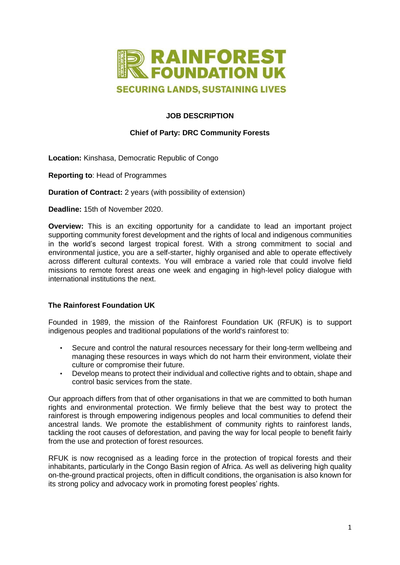

# **JOB DESCRIPTION**

# **Chief of Party: DRC Community Forests**

**Location:** Kinshasa, Democratic Republic of Congo

**Reporting to**: Head of Programmes

**Duration of Contract:** 2 years (with possibility of extension)

**Deadline:** 15th of November 2020.

**Overview:** This is an exciting opportunity for a candidate to lead an important project supporting community forest development and the rights of local and indigenous communities in the world's second largest tropical forest. With a strong commitment to social and environmental justice, you are a self-starter, highly organised and able to operate effectively across different cultural contexts. You will embrace a varied role that could involve field missions to remote forest areas one week and engaging in high-level policy dialogue with international institutions the next.

# **The Rainforest Foundation UK**

Founded in 1989, the mission of the Rainforest Foundation UK (RFUK) is to support indigenous peoples and traditional populations of the world's rainforest to:

- Secure and control the natural resources necessary for their long-term wellbeing and managing these resources in ways which do not harm their environment, violate their culture or compromise their future.
- Develop means to protect their individual and collective rights and to obtain, shape and control basic services from the state.

Our approach differs from that of other organisations in that we are committed to both human rights and environmental protection. We firmly believe that the best way to protect the rainforest is through empowering indigenous peoples and local communities to defend their ancestral lands. We promote the establishment of community rights to rainforest lands, tackling the root causes of deforestation, and paving the way for local people to benefit fairly from the use and protection of forest resources.

RFUK is now recognised as a leading force in the protection of tropical forests and their inhabitants, particularly in the Congo Basin region of Africa. As well as delivering high quality on-the-ground practical projects, often in difficult conditions, the organisation is also known for its strong policy and advocacy work in promoting forest peoples' rights.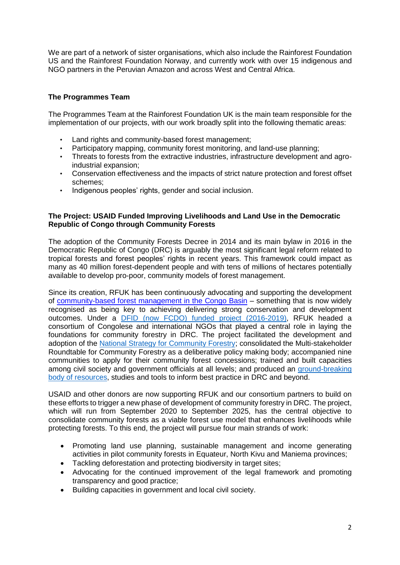We are part of a network of sister organisations, which also include the Rainforest Foundation US and the Rainforest Foundation Norway, and currently work with over 15 indigenous and NGO partners in the Peruvian Amazon and across West and Central Africa.

# **The Programmes Team**

The Programmes Team at the Rainforest Foundation UK is the main team responsible for the implementation of our projects, with our work broadly split into the following thematic areas:

- Land rights and community-based forest management;
- Participatory mapping, community forest monitoring, and land-use planning;
- Threats to forests from the extractive industries, infrastructure development and agroindustrial expansion;
- Conservation effectiveness and the impacts of strict nature protection and forest offset schemes;
- Indigenous peoples' rights, gender and social inclusion.

### **The Project: USAID Funded Improving Livelihoods and Land Use in the Democratic Republic of Congo through Community Forests**

The adoption of the Community Forests Decree in 2014 and its main bylaw in 2016 in the Democratic Republic of Congo (DRC) is arguably the most significant legal reform related to tropical forests and forest peoples' rights in recent years. This framework could impact as many as 40 million forest-dependent people and with tens of millions of hectares potentially available to develop pro-poor, community models of forest management.

Since its creation, RFUK has been continuously advocating and supporting the development of [community-based](http://www.mappingforrights.org/files/37803%20RFUK%20CBFM%20report%202014%20Online.pdf) [forest management in the Congo Basin](http://www.mappingforrights.org/files/37803%20RFUK%20CBFM%20report%202014%20Online.pdf) – something that is now widely recognised as being key to achieving delivering strong conservation and development outcomes. Under a [DFID \(now FCDO\) funded project \(2016-2019\),](https://www.rainforestfoundationuk.org/media/82d2622e-2145-49bd-a71c-901c97209f1d) RFUK headed a consortium of Congolese and international NGOs that played a central role in laying the foundations for community forestry in DRC. The project facilitated the development and adoption of the [National Strategy for Community Forestry;](https://www.rainforestfoundationuk.org/media.ashx/a-national-strategy-for-community-forestry-2018.pdf) consolidated the Multi-stakeholder Roundtable for Community Forestry as a deliberative policy making body; accompanied nine communities to apply for their community forest concessions; trained and built capacities among civil society and government officials at all levels; and produced an [ground-breaking](https://cf-resources.com/) [body of resources,](https://cf-resources.com/) studies and tools to inform best practice in DRC and beyond.

USAID and other donors are now supporting RFUK and our consortium partners to build on these efforts to trigger a new phase of development of community forestry in DRC. The project, which will run from September 2020 to September 2025, has the central objective to consolidate community forests as a viable forest use model that enhances livelihoods while protecting forests. To this end, the project will pursue four main strands of work:

- Promoting land use planning, sustainable management and income generating activities in pilot community forests in Equateur, North Kivu and Maniema provinces;
- Tackling deforestation and protecting biodiversity in target sites;
- Advocating for the continued improvement of the legal framework and promoting transparency and good practice;
- Building capacities in government and local civil society.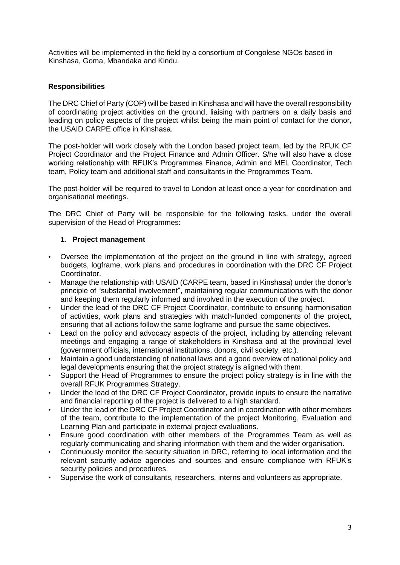Activities will be implemented in the field by a consortium of Congolese NGOs based in Kinshasa, Goma, Mbandaka and Kindu.

## **Responsibilities**

The DRC Chief of Party (COP) will be based in Kinshasa and will have the overall responsibility of coordinating project activities on the ground, liaising with partners on a daily basis and leading on policy aspects of the project whilst being the main point of contact for the donor, the USAID CARPE office in Kinshasa.

The post-holder will work closely with the London based project team, led by the RFUK CF Project Coordinator and the Project Finance and Admin Officer. S/he will also have a close working relationship with RFUK's Programmes Finance, Admin and MEL Coordinator, Tech team, Policy team and additional staff and consultants in the Programmes Team.

The post-holder will be required to travel to London at least once a year for coordination and organisational meetings.

The DRC Chief of Party will be responsible for the following tasks, under the overall supervision of the Head of Programmes:

### **1. Project management**

- Oversee the implementation of the project on the ground in line with strategy, agreed budgets, logframe, work plans and procedures in coordination with the DRC CF Project Coordinator.
- Manage the relationship with USAID (CARPE team, based in Kinshasa) under the donor's principle of "substantial involvement", maintaining regular communications with the donor and keeping them regularly informed and involved in the execution of the project.
- Under the lead of the DRC CF Project Coordinator, contribute to ensuring harmonisation of activities, work plans and strategies with match-funded components of the project, ensuring that all actions follow the same logframe and pursue the same objectives.
- Lead on the policy and advocacy aspects of the project, including by attending relevant meetings and engaging a range of stakeholders in Kinshasa and at the provincial level (government officials, international institutions, donors, civil society, etc.).
- Maintain a good understanding of national laws and a good overview of national policy and legal developments ensuring that the project strategy is aligned with them.
- Support the Head of Programmes to ensure the project policy strategy is in line with the overall RFUK Programmes Strategy.
- Under the lead of the DRC CF Project Coordinator, provide inputs to ensure the narrative and financial reporting of the project is delivered to a high standard.
- Under the lead of the DRC CF Project Coordinator and in coordination with other members of the team, contribute to the implementation of the project Monitoring, Evaluation and Learning Plan and participate in external project evaluations.
- Ensure good coordination with other members of the Programmes Team as well as regularly communicating and sharing information with them and the wider organisation.
- Continuously monitor the security situation in DRC, referring to local information and the relevant security advice agencies and sources and ensure compliance with RFUK's security policies and procedures.
- Supervise the work of consultants, researchers, interns and volunteers as appropriate.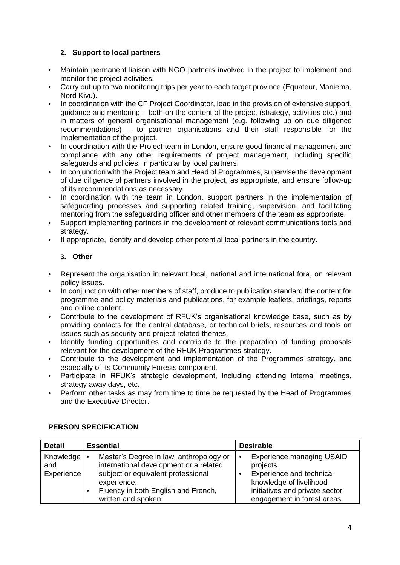## **2. Support to local partners**

- Maintain permanent liaison with NGO partners involved in the project to implement and monitor the project activities.
- Carry out up to two monitoring trips per year to each target province (Equateur, Maniema, Nord Kivu).
- In coordination with the CF Project Coordinator, lead in the provision of extensive support, guidance and mentoring – both on the content of the project (strategy, activities etc.) and in matters of general organisational management (e.g. following up on due diligence recommendations) – to partner organisations and their staff responsible for the implementation of the project.
- In coordination with the Project team in London, ensure good financial management and compliance with any other requirements of project management, including specific safeguards and policies, in particular by local partners.
- In conjunction with the Project team and Head of Programmes, supervise the development of due diligence of partners involved in the project, as appropriate, and ensure follow-up of its recommendations as necessary.
- In coordination with the team in London, support partners in the implementation of safeguarding processes and supporting related training, supervision, and facilitating mentoring from the safeguarding officer and other members of the team as appropriate.
- Support implementing partners in the development of relevant communications tools and strategy.
- If appropriate, identify and develop other potential local partners in the country.

## **3. Other**

- Represent the organisation in relevant local, national and international fora, on relevant policy issues.
- In conjunction with other members of staff, produce to publication standard the content for programme and policy materials and publications, for example leaflets, briefings, reports and online content.
- Contribute to the development of RFUK's organisational knowledge base, such as by providing contacts for the central database, or technical briefs, resources and tools on issues such as security and project related themes.
- Identify funding opportunities and contribute to the preparation of funding proposals relevant for the development of the RFUK Programmes strategy.
- Contribute to the development and implementation of the Programmes strategy, and especially of its Community Forests component.
- Participate in RFUK's strategic development, including attending internal meetings, strategy away days, etc.
- Perform other tasks as may from time to time be requested by the Head of Programmes and the Executive Director.

| <b>Detail</b>                  | <b>Essential</b>                                                                                                                                                                                     | <b>Desirable</b>                                                                                                                                                      |
|--------------------------------|------------------------------------------------------------------------------------------------------------------------------------------------------------------------------------------------------|-----------------------------------------------------------------------------------------------------------------------------------------------------------------------|
| Knowledge<br>and<br>Experience | Master's Degree in law, anthropology or<br>international development or a related<br>subject or equivalent professional<br>experience.<br>Fluency in both English and French,<br>written and spoken. | <b>Experience managing USAID</b><br>projects.<br>Experience and technical<br>knowledge of livelihood<br>initiatives and private sector<br>engagement in forest areas. |

# **PERSON SPECIFICATION**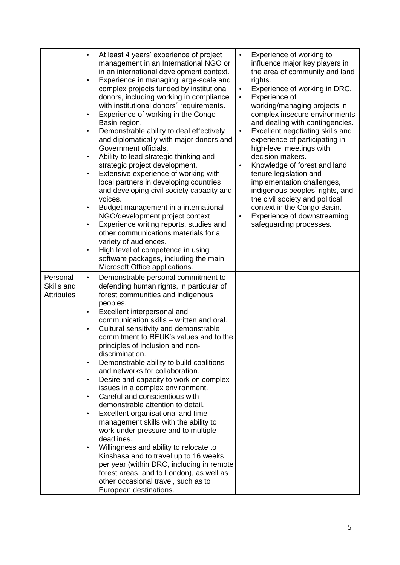|                                             | At least 4 years' experience of project<br>$\bullet$<br>management in an International NGO or<br>in an international development context.<br>Experience in managing large-scale and<br>$\bullet$<br>complex projects funded by institutional<br>donors, including working in compliance<br>with institutional donors' requirements.<br>Experience of working in the Congo<br>$\bullet$<br>Basin region.<br>Demonstrable ability to deal effectively<br>$\bullet$<br>and diplomatically with major donors and<br>Government officials.<br>Ability to lead strategic thinking and<br>$\bullet$<br>strategic project development.<br>Extensive experience of working with<br>$\bullet$<br>local partners in developing countries<br>and developing civil society capacity and<br>voices.<br>Budget management in a international<br>$\bullet$<br>NGO/development project context.<br>Experience writing reports, studies and<br>$\bullet$<br>other communications materials for a<br>variety of audiences.<br>High level of competence in using<br>$\bullet$<br>software packages, including the main<br>Microsoft Office applications. | Experience of working to<br>$\bullet$<br>influence major key players in<br>the area of community and land<br>rights.<br>Experience of working in DRC.<br>$\bullet$<br>Experience of<br>$\bullet$<br>working/managing projects in<br>complex insecure environments<br>and dealing with contingencies.<br>Excellent negotiating skills and<br>$\bullet$<br>experience of participating in<br>high-level meetings with<br>decision makers.<br>Knowledge of forest and land<br>$\bullet$<br>tenure legislation and<br>implementation challenges,<br>indigenous peoples' rights, and<br>the civil society and political<br>context in the Congo Basin.<br>Experience of downstreaming<br>$\bullet$<br>safeguarding processes. |
|---------------------------------------------|--------------------------------------------------------------------------------------------------------------------------------------------------------------------------------------------------------------------------------------------------------------------------------------------------------------------------------------------------------------------------------------------------------------------------------------------------------------------------------------------------------------------------------------------------------------------------------------------------------------------------------------------------------------------------------------------------------------------------------------------------------------------------------------------------------------------------------------------------------------------------------------------------------------------------------------------------------------------------------------------------------------------------------------------------------------------------------------------------------------------------------------|--------------------------------------------------------------------------------------------------------------------------------------------------------------------------------------------------------------------------------------------------------------------------------------------------------------------------------------------------------------------------------------------------------------------------------------------------------------------------------------------------------------------------------------------------------------------------------------------------------------------------------------------------------------------------------------------------------------------------|
| Personal<br>Skills and<br><b>Attributes</b> | Demonstrable personal commitment to<br>$\bullet$<br>defending human rights, in particular of<br>forest communities and indigenous<br>peoples.<br>Excellent interpersonal and<br>$\bullet$<br>communication skills - written and oral.<br>Cultural sensitivity and demonstrable<br>$\bullet$<br>commitment to RFUK's values and to the<br>principles of inclusion and non-<br>discrimination.<br>Demonstrable ability to build coalitions<br>$\bullet$<br>and networks for collaboration.<br>Desire and capacity to work on complex<br>$\bullet$<br>issues in a complex environment.<br>Careful and conscientious with<br>$\bullet$<br>demonstrable attention to detail.<br>Excellent organisational and time<br>management skills with the ability to<br>work under pressure and to multiple<br>deadlines.<br>Willingness and ability to relocate to<br>$\bullet$<br>Kinshasa and to travel up to 16 weeks<br>per year (within DRC, including in remote<br>forest areas, and to London), as well as<br>other occasional travel, such as to<br>European destinations.                                                                 |                                                                                                                                                                                                                                                                                                                                                                                                                                                                                                                                                                                                                                                                                                                          |